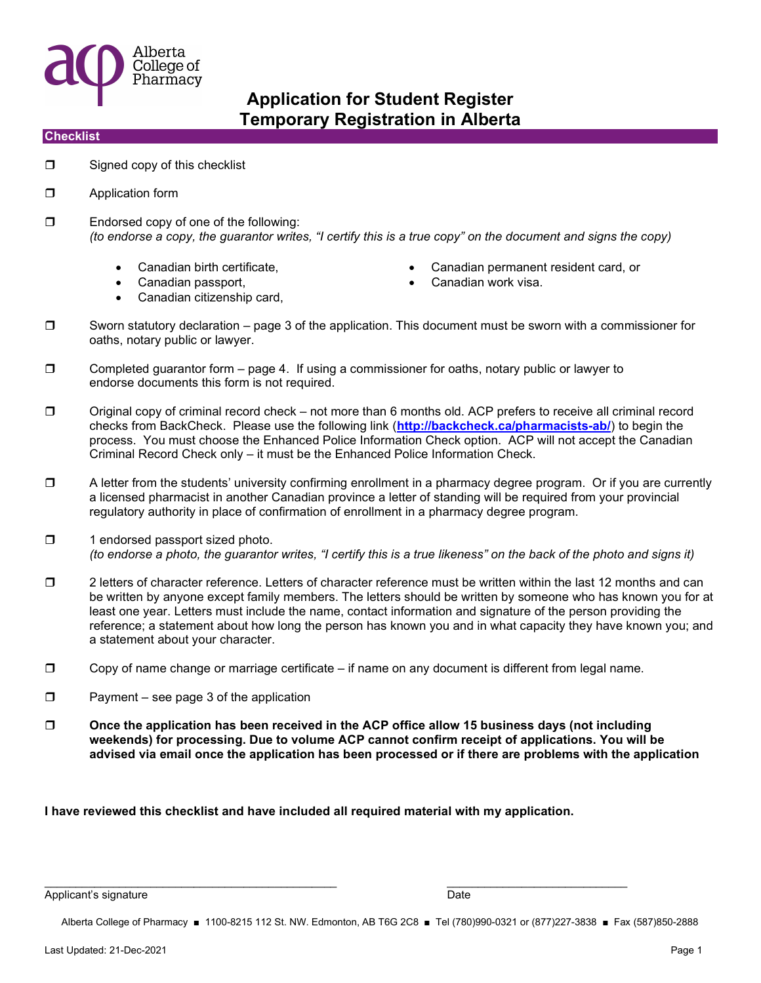

### **Checklist**

- $\Box$  Signed copy of this checklist
- **D** Application form
- $\square$  Endorsed copy of one of the following: (to endorse a copy, the guarantor writes, "I certify this is a true copy" on the document and signs the copy)
	-
	- Canadian passport, Canadian work visa.
	- Canadian citizenship card,
- Canadian birth certificate, Canadian permanent resident card, or
	-
- $\square$  Sworn statutory declaration page 3 of the application. This document must be sworn with a commissioner for oaths, notary public or lawyer.
- $\Box$  Completed guarantor form  $-$  page 4. If using a commissioner for oaths, notary public or lawyer to endorse documents this form is not required.
- $\square$  Original copy of criminal record check not more than 6 months old. ACP prefers to receive all criminal record checks from BackCheck. Please use the following link (http://backcheck.ca/pharmacists-ab/) to begin the process. You must choose the Enhanced Police Information Check option. ACP will not accept the Canadian Criminal Record Check only – it must be the Enhanced Police Information Check.
- $\Box$  A letter from the students' university confirming enrollment in a pharmacy degree program. Or if you are currently a licensed pharmacist in another Canadian province a letter of standing will be required from your provincial regulatory authority in place of confirmation of enrollment in a pharmacy degree program.
- $\Box$  1 endorsed passport sized photo. (to endorse a photo, the guarantor writes, "I certify this is a true likeness" on the back of the photo and signs it)
- $\square$  2 letters of character reference. Letters of character reference must be written within the last 12 months and can be written by anyone except family members. The letters should be written by someone who has known you for at least one year. Letters must include the name, contact information and signature of the person providing the reference; a statement about how long the person has known you and in what capacity they have known you; and a statement about your character.
- $\Box$  Copy of name change or marriage certificate if name on any document is different from legal name.
- $\Box$  Payment see page 3 of the application
- $\square$  Once the application has been received in the ACP office allow 15 business days (not including weekends) for processing. Due to volume ACP cannot confirm receipt of applications. You will be advised via email once the application has been processed or if there are problems with the application

I have reviewed this checklist and have included all required material with my application.

 $\overline{\phantom{a}}$  , and the contribution of the contribution of  $\overline{\phantom{a}}$  , and  $\overline{\phantom{a}}$  , and  $\overline{\phantom{a}}$  , and  $\overline{\phantom{a}}$ 

Applicant's signature **Date** Date of the Date of the Date of the Date of the Date of the Date of the Date of the Date of the Date of the Date of the Date of the Date of the Date of the Date of the Date of the Date of the D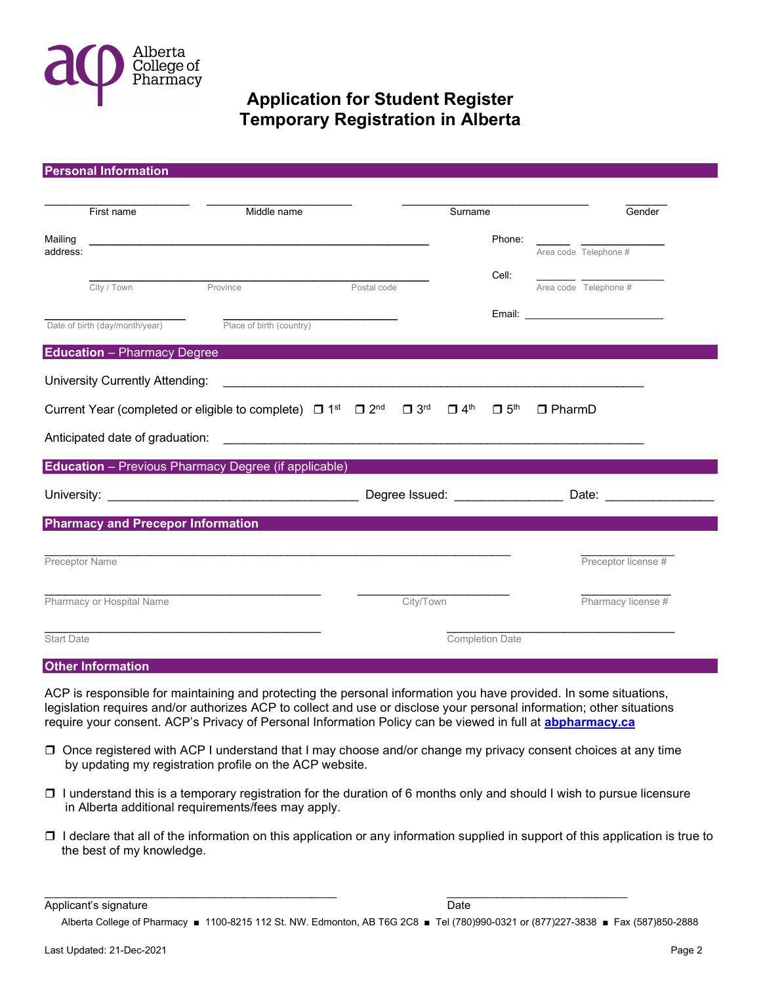

|                                                                                                                                                                                                  | <b>Personal Information</b>              |                                                      |             |           |         |                        |                                    |                          |
|--------------------------------------------------------------------------------------------------------------------------------------------------------------------------------------------------|------------------------------------------|------------------------------------------------------|-------------|-----------|---------|------------------------|------------------------------------|--------------------------|
|                                                                                                                                                                                                  |                                          |                                                      |             |           |         |                        |                                    |                          |
|                                                                                                                                                                                                  | First name                               | Middle name                                          |             |           | Surname |                        |                                    | Gender                   |
| Mailing                                                                                                                                                                                          |                                          |                                                      |             |           |         | Phone:                 |                                    |                          |
| address:                                                                                                                                                                                         |                                          |                                                      |             |           |         |                        | Area code Telephone #              |                          |
|                                                                                                                                                                                                  | City / Town                              | Province                                             | Postal code |           |         | Cell:                  | Area code Telephone #              |                          |
|                                                                                                                                                                                                  |                                          |                                                      |             |           |         |                        |                                    |                          |
|                                                                                                                                                                                                  | Date of birth (day/month/year)           | Place of birth (country)                             |             |           |         |                        | Email: ___________________________ |                          |
|                                                                                                                                                                                                  |                                          |                                                      |             |           |         |                        |                                    |                          |
|                                                                                                                                                                                                  | <b>Education</b> - Pharmacy Degree       |                                                      |             |           |         |                        |                                    |                          |
|                                                                                                                                                                                                  | University Currently Attending:          |                                                      |             |           |         |                        |                                    |                          |
| $\square$ 3 <sup>rd</sup><br>Current Year (completed or eligible to complete) $\Box$ 1 <sup>st</sup> $\Box$ 2 <sup>nd</sup><br>$\Box$ 4 <sup>th</sup><br>$\Box$ 5 <sup>th</sup><br>$\Box$ PharmD |                                          |                                                      |             |           |         |                        |                                    |                          |
|                                                                                                                                                                                                  |                                          |                                                      |             |           |         |                        |                                    |                          |
|                                                                                                                                                                                                  |                                          |                                                      |             |           |         |                        |                                    |                          |
|                                                                                                                                                                                                  |                                          | Education - Previous Pharmacy Degree (if applicable) |             |           |         |                        |                                    |                          |
|                                                                                                                                                                                                  |                                          |                                                      |             |           |         |                        |                                    | Date: __________________ |
|                                                                                                                                                                                                  | <b>Pharmacy and Precepor Information</b> |                                                      |             |           |         |                        |                                    |                          |
|                                                                                                                                                                                                  |                                          |                                                      |             |           |         |                        |                                    |                          |
|                                                                                                                                                                                                  | Preceptor Name                           |                                                      |             |           |         |                        | Preceptor license #                |                          |
|                                                                                                                                                                                                  |                                          |                                                      |             |           |         |                        |                                    |                          |
|                                                                                                                                                                                                  | Pharmacy or Hospital Name                |                                                      |             | City/Town |         |                        | Pharmacy license #                 |                          |
|                                                                                                                                                                                                  |                                          |                                                      |             |           |         |                        |                                    |                          |
| <b>Start Date</b>                                                                                                                                                                                |                                          |                                                      |             |           |         | <b>Completion Date</b> |                                    |                          |
|                                                                                                                                                                                                  |                                          |                                                      |             |           |         |                        |                                    |                          |

### Other Information

ACP is responsible for maintaining and protecting the personal information you have provided. In some situations, legislation requires and/or authorizes ACP to collect and use or disclose your personal information; other situations require your consent. ACP's Privacy of Personal Information Policy can be viewed in full at **abpharmacy.ca** 

- Once registered with ACP I understand that I may choose and/or change my privacy consent choices at any time by updating my registration profile on the ACP website.
- $\Box$  I understand this is a temporary registration for the duration of 6 months only and should I wish to pursue licensure in Alberta additional requirements/fees may apply.
- I declare that all of the information on this application or any information supplied in support of this application is true to the best of my knowledge.

Applicant's signature **Date** 

Alberta College of Pharmacy ■ 1100-8215 112 St. NW. Edmonton, AB T6G 2C8 ■ Tel (780)990-0321 or (877)227-3838 ■ Fax (587)850-2888

 $\overline{\phantom{a}}$  , and the contribution of the contribution of  $\overline{\phantom{a}}$  , and  $\overline{\phantom{a}}$  , and  $\overline{\phantom{a}}$  , and  $\overline{\phantom{a}}$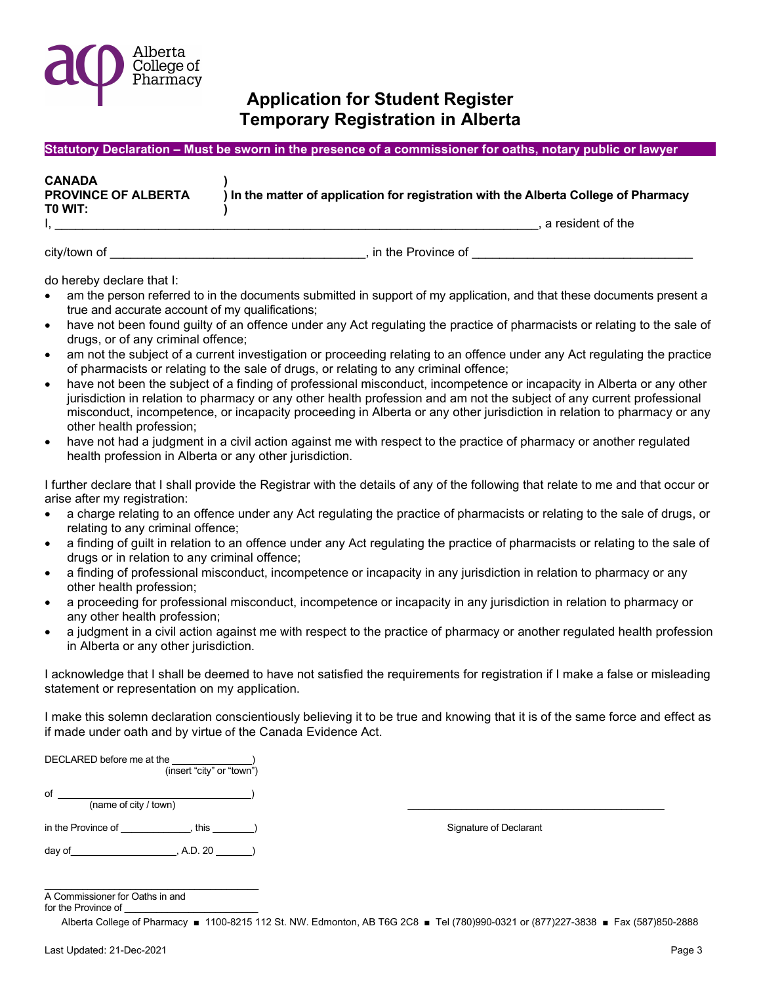

#### Statutory Declaration – Must be sworn in the presence of a commissioner for oaths, notary public or lawyer

| <b>CANADA</b><br><b>PROVINCE OF ALBERTA</b><br>TO WIT: | ) In the matter of application for registration with the Alberta College of Pharmacy |
|--------------------------------------------------------|--------------------------------------------------------------------------------------|
|                                                        | a resident of the                                                                    |

city/town of example and the experiment of the Province of  $\overline{\phantom{a}}$ , in the Province of

do hereby declare that I:

- am the person referred to in the documents submitted in support of my application, and that these documents present a true and accurate account of my qualifications;
- have not been found guilty of an offence under any Act regulating the practice of pharmacists or relating to the sale of drugs, or of any criminal offence;
- am not the subject of a current investigation or proceeding relating to an offence under any Act regulating the practice of pharmacists or relating to the sale of drugs, or relating to any criminal offence;
- have not been the subject of a finding of professional misconduct, incompetence or incapacity in Alberta or any other jurisdiction in relation to pharmacy or any other health profession and am not the subject of any current professional misconduct, incompetence, or incapacity proceeding in Alberta or any other jurisdiction in relation to pharmacy or any other health profession;
- have not had a judgment in a civil action against me with respect to the practice of pharmacy or another regulated health profession in Alberta or any other jurisdiction.

I further declare that I shall provide the Registrar with the details of any of the following that relate to me and that occur or arise after my registration:

- a charge relating to an offence under any Act regulating the practice of pharmacists or relating to the sale of drugs, or relating to any criminal offence;
- a finding of guilt in relation to an offence under any Act regulating the practice of pharmacists or relating to the sale of drugs or in relation to any criminal offence;
- a finding of professional misconduct, incompetence or incapacity in any jurisdiction in relation to pharmacy or any other health profession;
- a proceeding for professional misconduct, incompetence or incapacity in any jurisdiction in relation to pharmacy or any other health profession;
- a judgment in a civil action against me with respect to the practice of pharmacy or another regulated health profession in Alberta or any other jurisdiction.

I acknowledge that I shall be deemed to have not satisfied the requirements for registration if I make a false or misleading statement or representation on my application.

I make this solemn declaration conscientiously believing it to be true and knowing that it is of the same force and effect as if made under oath and by virtue of the Canada Evidence Act.

| DECLARED before me at the<br>(insert "city" or "town") |                        |
|--------------------------------------------------------|------------------------|
| of<br>(name of city / town)                            |                        |
| in the Province of<br>this $\overline{\phantom{a}}$    | Signature of Declarant |
| , A.D. 20<br>day of                                    |                        |

 $\mathcal{L}_\text{max}$  and  $\mathcal{L}_\text{max}$  and  $\mathcal{L}_\text{max}$ A Commissioner for Oaths in and

for the Province of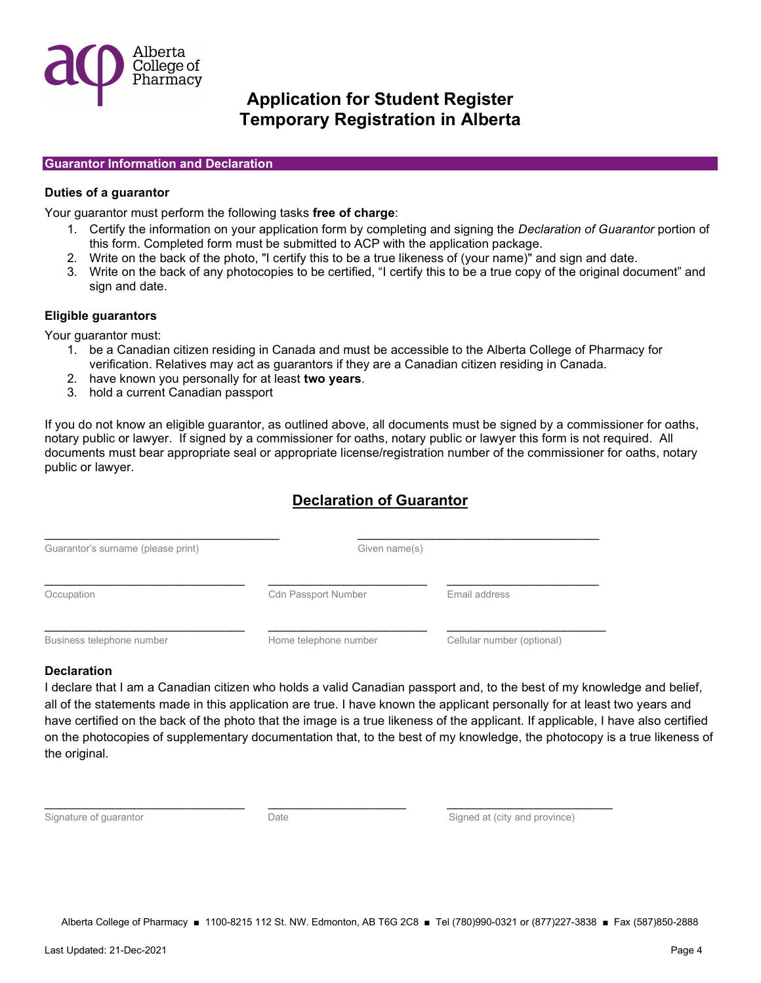

#### Guarantor Information and Declaration

### Duties of a guarantor

Your quarantor must perform the following tasks free of charge:

- 1. Certify the information on your application form by completing and signing the Declaration of Guarantor portion of this form. Completed form must be submitted to ACP with the application package.
- 2. Write on the back of the photo, "I certify this to be a true likeness of (your name)" and sign and date.
- 3. Write on the back of any photocopies to be certified, "I certify this to be a true copy of the original document" and sign and date.

### Eligible guarantors

Your guarantor must:

- 1. be a Canadian citizen residing in Canada and must be accessible to the Alberta College of Pharmacy for verification. Relatives may act as guarantors if they are a Canadian citizen residing in Canada.
- 2. have known you personally for at least two years.
- 3. hold a current Canadian passport

If you do not know an eligible guarantor, as outlined above, all documents must be signed by a commissioner for oaths, notary public or lawyer. If signed by a commissioner for oaths, notary public or lawyer this form is not required. All documents must bear appropriate seal or appropriate license/registration number of the commissioner for oaths, notary public or lawyer.

## Declaration of Guarantor

| Guarantor's surname (please print) | Given name(s)              |                            |
|------------------------------------|----------------------------|----------------------------|
| Occupation                         | <b>Cdn Passport Number</b> | Email address              |
| Business telephone number          | Home telephone number      | Cellular number (optional) |

### **Declaration**

I declare that I am a Canadian citizen who holds a valid Canadian passport and, to the best of my knowledge and belief, all of the statements made in this application are true. I have known the applicant personally for at least two years and have certified on the back of the photo that the image is a true likeness of the applicant. If applicable, I have also certified on the photocopies of supplementary documentation that, to the best of my knowledge, the photocopy is a true likeness of the original.

Signature of guarantor **Signature of guarantor** Signed at (city and province) **Date** Signed at (city and province)